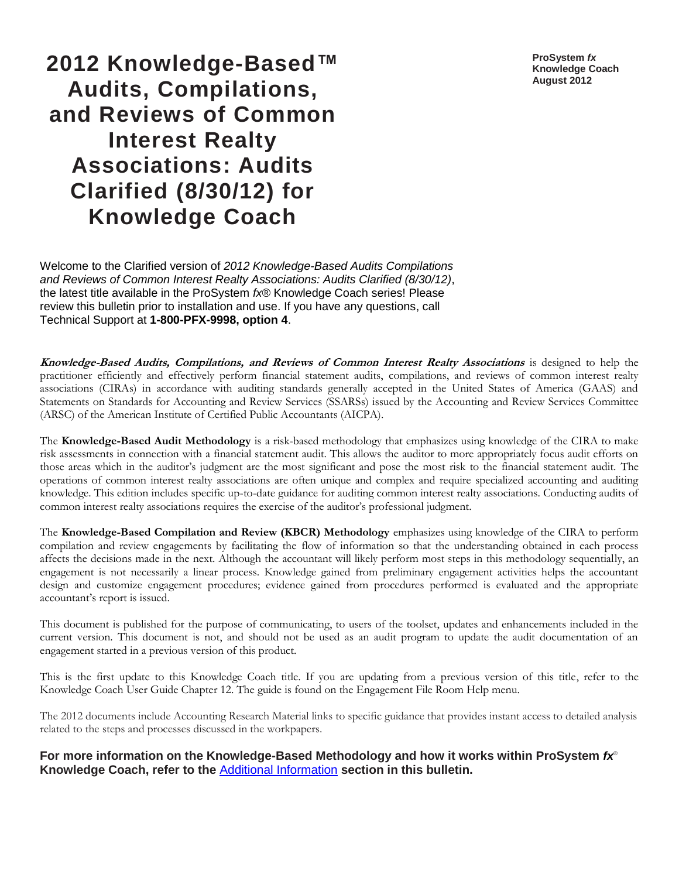**ProSystem** *fx* **Knowledge Coach August 2012**

# **2012 Knowledge-Based™ Audits, Compilations, and Reviews of Common Interest Realty Associations: Audits Clarified (8/30/12) for Knowledge Coach**

Welcome to the Clarified version of *2012 Knowledge-Based Audits Compilations and Reviews of Common Interest Realty Associations: Audits Clarified (8/30/12)*, the latest title available in the ProSystem *fx*® Knowledge Coach series! Please review this bulletin prior to installation and use. If you have any questions, call Technical Support at **1-800-PFX-9998, option 4**.

**Knowledge-Based Audits, Compilations, and Reviews of Common Interest Realty Associations** is designed to help the practitioner efficiently and effectively perform financial statement audits, compilations, and reviews of common interest realty associations (CIRAs) in accordance with auditing standards generally accepted in the United States of America (GAAS) and Statements on Standards for Accounting and Review Services (SSARSs) issued by the Accounting and Review Services Committee (ARSC) of the American Institute of Certified Public Accountants (AICPA).

The **Knowledge-Based Audit Methodology** is a risk-based methodology that emphasizes using knowledge of the CIRA to make risk assessments in connection with a financial statement audit. This allows the auditor to more appropriately focus audit efforts on those areas which in the auditor's judgment are the most significant and pose the most risk to the financial statement audit. The operations of common interest realty associations are often unique and complex and require specialized accounting and auditing knowledge. This edition includes specific up-to-date guidance for auditing common interest realty associations. Conducting audits of common interest realty associations requires the exercise of the auditor's professional judgment.

The **Knowledge-Based Compilation and Review (KBCR) Methodology** emphasizes using knowledge of the CIRA to perform compilation and review engagements by facilitating the flow of information so that the understanding obtained in each process affects the decisions made in the next. Although the accountant will likely perform most steps in this methodology sequentially, an engagement is not necessarily a linear process. Knowledge gained from preliminary engagement activities helps the accountant design and customize engagement procedures; evidence gained from procedures performed is evaluated and the appropriate accountant's report is issued.

This document is published for the purpose of communicating, to users of the toolset, updates and enhancements included in the current version. This document is not, and should not be used as an audit program to update the audit documentation of an engagement started in a previous version of this product.

This is the first update to this Knowledge Coach title. If you are updating from a previous version of this title, refer to the Knowledge Coach User Guide Chapter 12. The guide is found on the Engagement File Room Help menu.

The 2012 documents include Accounting Research Material links to specific guidance that provides instant access to detailed analysis related to the steps and processes discussed in the workpapers.

**For more information on the Knowledge-Based Methodology and how it works within ProSystem** *fx*® **Knowledge Coach, refer to the** [Additional Information](#page-3-0) **section in this bulletin.**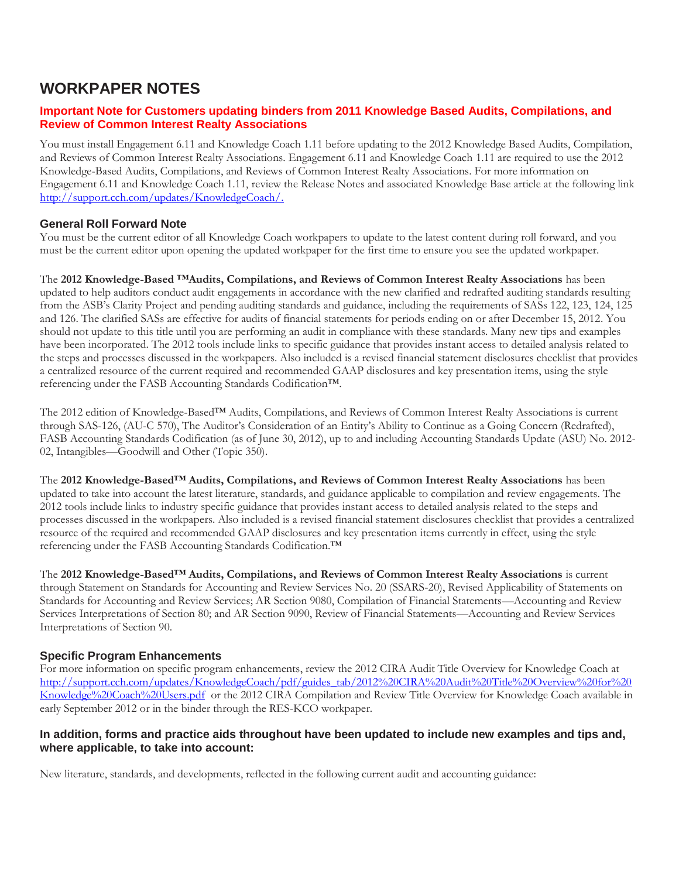## **WORKPAPER NOTES**

#### **Important Note for Customers updating binders from 2011 Knowledge Based Audits, Compilations, and Review of Common Interest Realty Associations**

You must install Engagement 6.11 and Knowledge Coach 1.11 before updating to the 2012 Knowledge Based Audits, Compilation, and Reviews of Common Interest Realty Associations. Engagement 6.11 and Knowledge Coach 1.11 are required to use the 2012 Knowledge-Based Audits, Compilations, and Reviews of Common Interest Realty Associations. For more information on Engagement 6.11 and Knowledge Coach 1.11, review the Release Notes and associated Knowledge Base article at the following link [http://support.cch.com/updates/KnowledgeCoach/.](http://support.cch.com/updates/KnowledgeCoach/) 

#### **General Roll Forward Note**

You must be the current editor of all Knowledge Coach workpapers to update to the latest content during roll forward, and you must be the current editor upon opening the updated workpaper for the first time to ensure you see the updated workpaper.

The **2012 Knowledge-Based ™Audits, Compilations, and Reviews of Common Interest Realty Associations** has been updated to help auditors conduct audit engagements in accordance with the new clarified and redrafted auditing standards resulting from the ASB's Clarity Project and pending auditing standards and guidance, including the requirements of SASs 122, 123, 124, 125 and 126. The clarified SASs are effective for audits of financial statements for periods ending on or after December 15, 2012. You should not update to this title until you are performing an audit in compliance with these standards. Many new tips and examples have been incorporated. The 2012 tools include links to specific guidance that provides instant access to detailed analysis related to the steps and processes discussed in the workpapers. Also included is a revised financial statement disclosures checklist that provides a centralized resource of the current required and recommended GAAP disclosures and key presentation items, using the style referencing under the FASB Accounting Standards Codification™.

The 2012 edition of Knowledge-Based™ Audits, Compilations, and Reviews of Common Interest Realty Associations is current through SAS-126, (AU-C 570), The Auditor's Consideration of an Entity's Ability to Continue as a Going Concern (Redrafted), FASB Accounting Standards Codification (as of June 30, 2012), up to and including Accounting Standards Update (ASU) No. 2012- 02, Intangibles—Goodwill and Other (Topic 350).

The **2012 Knowledge-Based™ Audits, Compilations, and Reviews of Common Interest Realty Associations** has been updated to take into account the latest literature, standards, and guidance applicable to compilation and review engagements. The 2012 tools include links to industry specific guidance that provides instant access to detailed analysis related to the steps and processes discussed in the workpapers. Also included is a revised financial statement disclosures checklist that provides a centralized resource of the required and recommended GAAP disclosures and key presentation items currently in effect, using the style referencing under the FASB Accounting Standards Codification.™

The **2012 Knowledge-Based™ Audits, Compilations, and Reviews of Common Interest Realty Associations** is current through Statement on Standards for Accounting and Review Services No. 20 (SSARS-20), Revised Applicability of Statements on Standards for Accounting and Review Services; AR Section 9080, Compilation of Financial Statements—Accounting and Review Services Interpretations of Section 80; and AR Section 9090, Review of Financial Statements—Accounting and Review Services Interpretations of Section 90.

#### **Specific Program Enhancements**

For more information on specific program enhancements, review the 2012 CIRA Audit Title Overview for Knowledge Coach at [http://support.cch.com/updates/KnowledgeCoach/pdf/guides\\_tab/2012%20CIRA%20Audit%20Title%20Overview%20for%20](http://support.cch.com/updates/KnowledgeCoach/pdf/guides_tab/2012%20CIRA%20Audit%20Title%20Overview%20for%20Knowledge%20Coach%20Users.pdf) [Knowledge%20Coach%20Users.pdf](http://support.cch.com/updates/KnowledgeCoach/pdf/guides_tab/2012%20CIRA%20Audit%20Title%20Overview%20for%20Knowledge%20Coach%20Users.pdf) or the 2012 CIRA Compilation and Review Title Overview for Knowledge Coach available in early September 2012 or in the binder through the RES-KCO workpaper.

#### **In addition, forms and practice aids throughout have been updated to include new examples and tips and, where applicable, to take into account:**

New literature, standards, and developments, reflected in the following current audit and accounting guidance: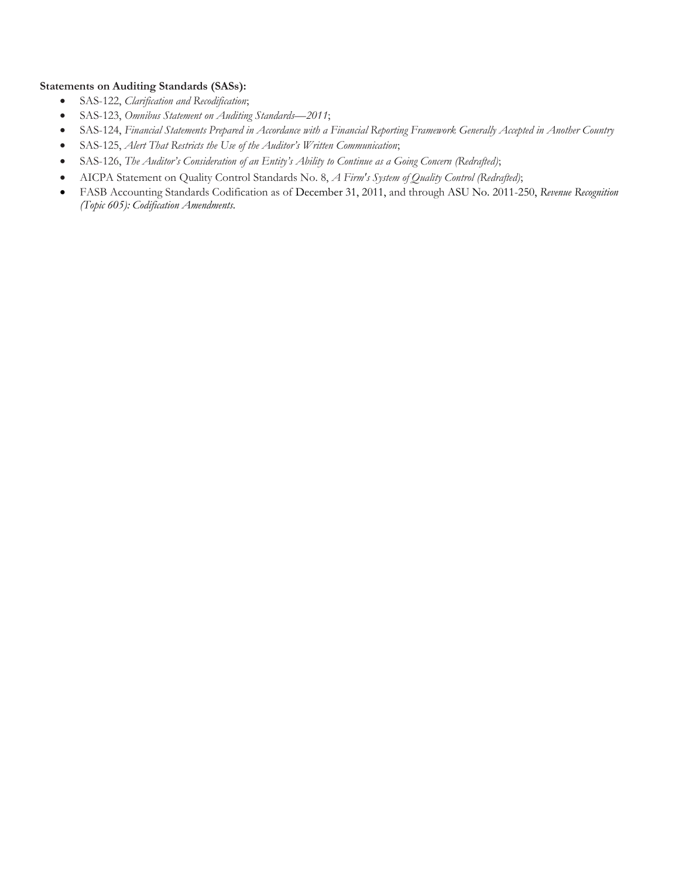#### **Statements on Auditing Standards (SASs):**

- SAS-122, *Clarification and Recodification*;
- SAS-123, *Omnibus Statement on Auditing Standards—2011*;
- SAS-124, *Financial Statements Prepared in Accordance with a Financial Reporting Framework Generally Accepted in Another Country*
- SAS-125, *Alert That Restricts the Use of the Auditor's Written Communication*;
- SAS-126, *The Auditor's Consideration of an Entity's Ability to Continue as a Going Concern (Redrafted)*;
- AICPA Statement on Quality Control Standards No. 8, *A Firm's System of Quality Control (Redrafted)*;
- FASB Accounting Standards Codification as of December 31, 2011, and through ASU No. 2011-250, *Revenue Recognition (Topic 605): Codification Amendments.*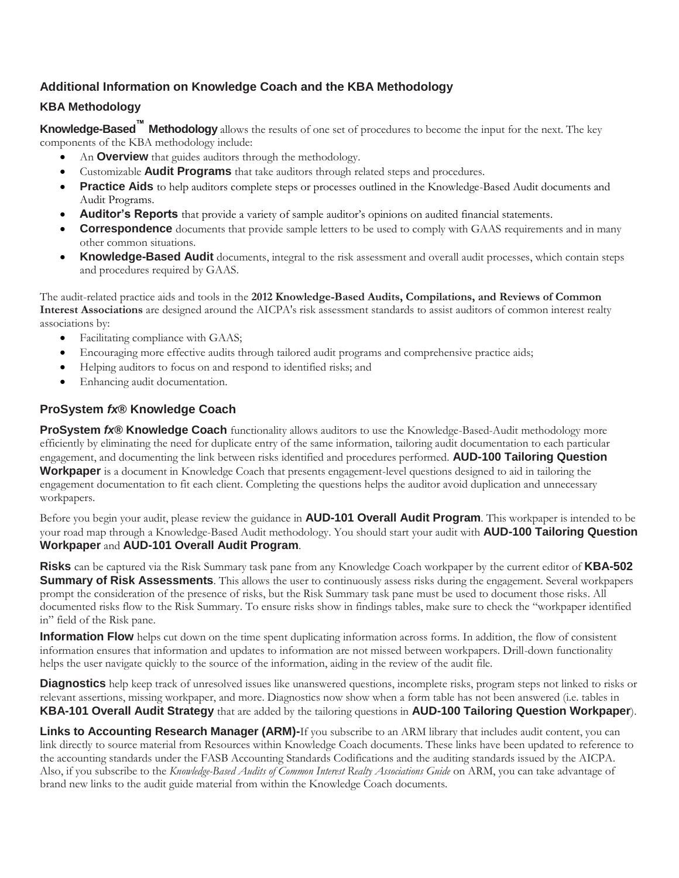## <span id="page-3-0"></span>**Additional Information on Knowledge Coach and the KBA Methodology**

### **KBA Methodology**

**Knowledge-Based™ Methodology** allows the results of one set of procedures to become the input for the next. The key components of the KBA methodology include:

- An **Overview** that guides auditors through the methodology.
- Customizable **Audit Programs** that take auditors through related steps and procedures.
- **Practice Aids** to help auditors complete steps or processes outlined in the Knowledge-Based Audit documents and Audit Programs.
- **Auditor's Reports** that provide a variety of sample auditor's opinions on audited financial statements.
- **Correspondence** documents that provide sample letters to be used to comply with GAAS requirements and in many other common situations.
- **Knowledge-Based Audit** documents, integral to the risk assessment and overall audit processes, which contain steps and procedures required by GAAS.

The audit-related practice aids and tools in the **2012 Knowledge-Based Audits, Compilations, and Reviews of Common Interest Associations** are designed around the AICPA's risk assessment standards to assist auditors of common interest realty associations by:

- Facilitating compliance with GAAS;
- Encouraging more effective audits through tailored audit programs and comprehensive practice aids;
- Helping auditors to focus on and respond to identified risks; and
- Enhancing audit documentation.

## **ProSystem** *fx***® Knowledge Coach**

**ProSystem** *fx***® Knowledge Coach** functionality allows auditors to use the Knowledge-Based-Audit methodology more efficiently by eliminating the need for duplicate entry of the same information, tailoring audit documentation to each particular engagement, and documenting the link between risks identified and procedures performed. **AUD-100 Tailoring Question Workpaper** is a document in Knowledge Coach that presents engagement-level questions designed to aid in tailoring the engagement documentation to fit each client. Completing the questions helps the auditor avoid duplication and unnecessary workpapers.

Before you begin your audit, please review the guidance in **AUD-101 Overall Audit Program**. This workpaper is intended to be your road map through a Knowledge-Based Audit methodology. You should start your audit with **AUD-100 Tailoring Question Workpaper** and **AUD-101 Overall Audit Program**.

**Risks** can be captured via the Risk Summary task pane from any Knowledge Coach workpaper by the current editor of **KBA-502 Summary of Risk Assessments**. This allows the user to continuously assess risks during the engagement. Several workpapers prompt the consideration of the presence of risks, but the Risk Summary task pane must be used to document those risks. All documented risks flow to the Risk Summary. To ensure risks show in findings tables, make sure to check the "workpaper identified in" field of the Risk pane.

**Information Flow** helps cut down on the time spent duplicating information across forms. In addition, the flow of consistent information ensures that information and updates to information are not missed between workpapers. Drill-down functionality helps the user navigate quickly to the source of the information, aiding in the review of the audit file.

**Diagnostics** help keep track of unresolved issues like unanswered questions, incomplete risks, program steps not linked to risks or relevant assertions, missing workpaper, and more. Diagnostics now show when a form table has not been answered (i.e. tables in **KBA-101 Overall Audit Strategy** that are added by the tailoring questions in **AUD-100 Tailoring Question Workpaper**).

**Links to Accounting Research Manager (ARM)-**If you subscribe to an ARM library that includes audit content, you can link directly to source material from Resources within Knowledge Coach documents. These links have been updated to reference to the accounting standards under the FASB Accounting Standards Codifications and the auditing standards issued by the AICPA. Also, if you subscribe to the *Knowledge-Based Audits of Common Interest Realty Associations Guide* on ARM, you can take advantage of brand new links to the audit guide material from within the Knowledge Coach documents.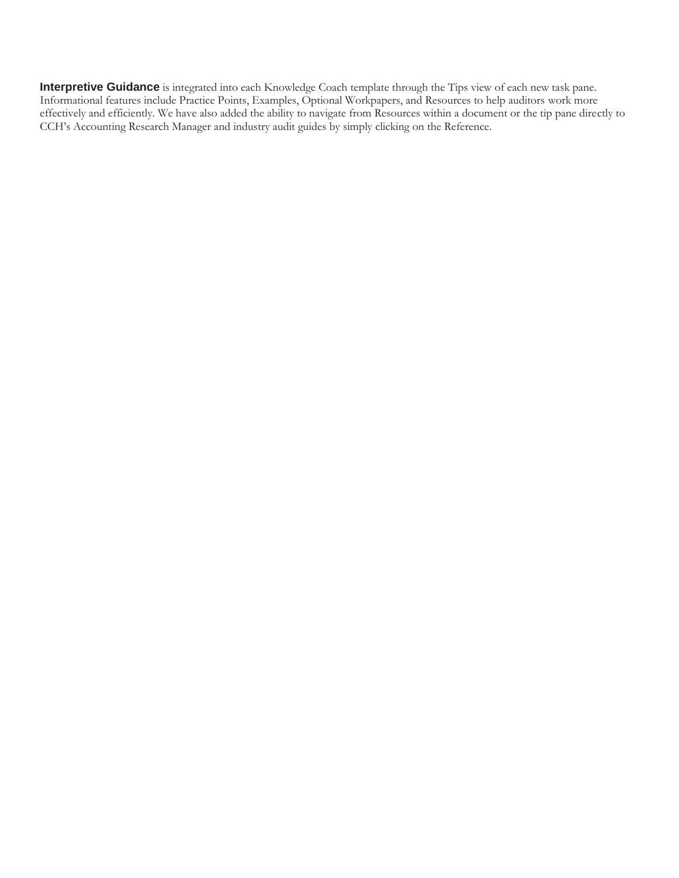**Interpretive Guidance** is integrated into each Knowledge Coach template through the Tips view of each new task pane. Informational features include Practice Points, Examples, Optional Workpapers, and Resources to help auditors work more effectively and efficiently. We have also added the ability to navigate from Resources within a document or the tip pane directly to CCH's Accounting Research Manager and industry audit guides by simply clicking on the Reference.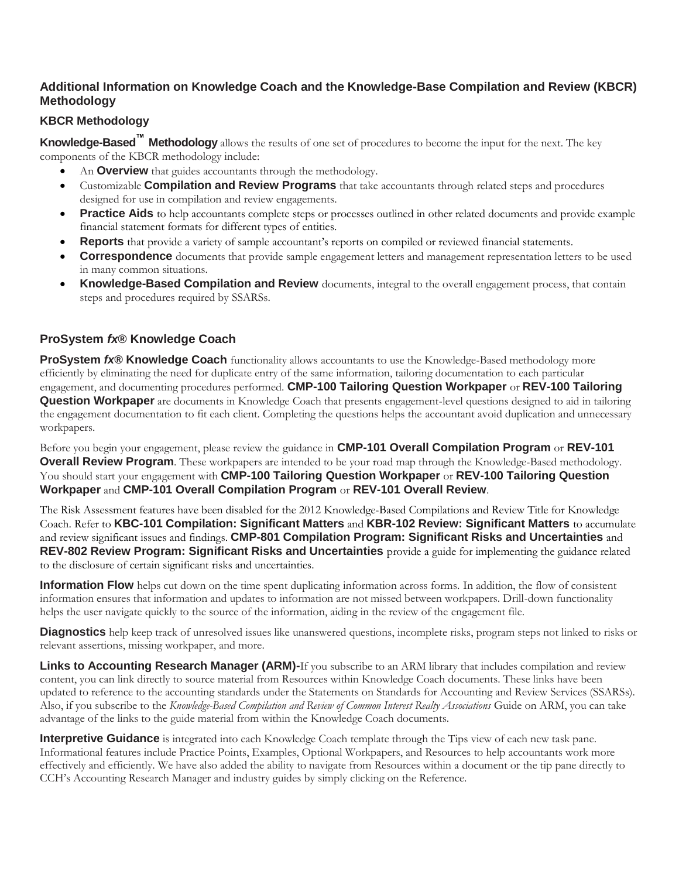## **Additional Information on Knowledge Coach and the Knowledge-Base Compilation and Review (KBCR) Methodology**

## **KBCR Methodology**

**Knowledge-Based™ Methodology** allows the results of one set of procedures to become the input for the next. The key components of the KBCR methodology include:

- An **Overview** that guides accountants through the methodology.
- Customizable **Compilation and Review Programs** that take accountants through related steps and procedures designed for use in compilation and review engagements.
- **Practice Aids** to help accountants complete steps or processes outlined in other related documents and provide example financial statement formats for different types of entities.
- **Reports** that provide a variety of sample accountant's reports on compiled or reviewed financial statements.
- **Correspondence** documents that provide sample engagement letters and management representation letters to be used in many common situations.
- **Knowledge-Based Compilation and Review** documents, integral to the overall engagement process, that contain steps and procedures required by SSARSs.

### **ProSystem** *fx***® Knowledge Coach**

**ProSystem** *fx***® Knowledge Coach** functionality allows accountants to use the Knowledge-Based methodology more efficiently by eliminating the need for duplicate entry of the same information, tailoring documentation to each particular engagement, and documenting procedures performed. **CMP-100 Tailoring Question Workpaper** or **REV-100 Tailoring Question Workpaper** are documents in Knowledge Coach that presents engagement-level questions designed to aid in tailoring the engagement documentation to fit each client. Completing the questions helps the accountant avoid duplication and unnecessary workpapers.

Before you begin your engagement, please review the guidance in **CMP-101 Overall Compilation Program** or **REV-101 Overall Review Program**. These workpapers are intended to be your road map through the Knowledge-Based methodology. You should start your engagement with **CMP-100 Tailoring Question Workpaper** or **REV-100 Tailoring Question Workpaper** and **CMP-101 Overall Compilation Program** or **REV-101 Overall Review**.

The Risk Assessment features have been disabled for the 2012 Knowledge-Based Compilations and Review Title for Knowledge Coach. Refer to **KBC-101 Compilation: Significant Matters** and **KBR-102 Review: Significant Matters** to accumulate and review significant issues and findings. **CMP-801 Compilation Program: Significant Risks and Uncertainties** and **REV-802 Review Program: Significant Risks and Uncertainties** provide a guide for implementing the guidance related to the disclosure of certain significant risks and uncertainties.

**Information Flow** helps cut down on the time spent duplicating information across forms. In addition, the flow of consistent information ensures that information and updates to information are not missed between workpapers. Drill-down functionality helps the user navigate quickly to the source of the information, aiding in the review of the engagement file.

**Diagnostics** help keep track of unresolved issues like unanswered questions, incomplete risks, program steps not linked to risks or relevant assertions, missing workpaper, and more.

**Links to Accounting Research Manager (ARM)-**If you subscribe to an ARM library that includes compilation and review content, you can link directly to source material from Resources within Knowledge Coach documents. These links have been updated to reference to the accounting standards under the Statements on Standards for Accounting and Review Services (SSARSs). Also, if you subscribe to the *Knowledge-Based Compilation and Review of Common Interest Realty Associations* Guide on ARM, you can take advantage of the links to the guide material from within the Knowledge Coach documents.

**Interpretive Guidance** is integrated into each Knowledge Coach template through the Tips view of each new task pane. Informational features include Practice Points, Examples, Optional Workpapers, and Resources to help accountants work more effectively and efficiently. We have also added the ability to navigate from Resources within a document or the tip pane directly to CCH's Accounting Research Manager and industry guides by simply clicking on the Reference.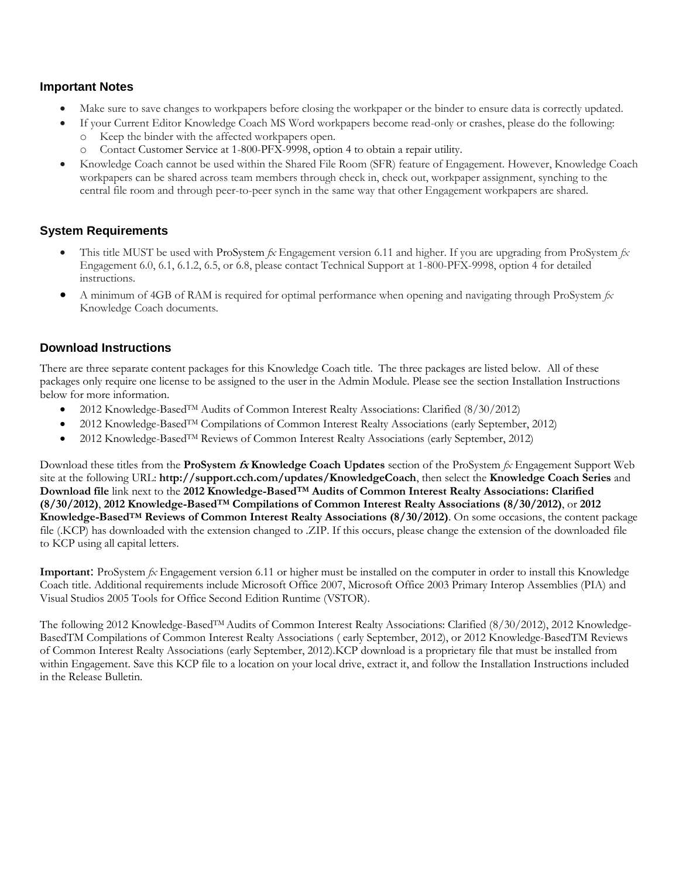#### **Important Notes**

- Make sure to save changes to workpapers before closing the workpaper or the binder to ensure data is correctly updated.
- If your Current Editor Knowledge Coach MS Word workpapers become read-only or crashes, please do the following: o Keep the binder with the affected workpapers open.
	- o Contact Customer Service at 1-800-PFX-9998, option 4 to obtain a repair utility.
- Knowledge Coach cannot be used within the Shared File Room (SFR) feature of Engagement. However, Knowledge Coach workpapers can be shared across team members through check in, check out, workpaper assignment, synching to the central file room and through peer-to-peer synch in the same way that other Engagement workpapers are shared.

#### **System Requirements**

- This title MUST be used with ProSystem *fx* Engagement version 6.11 and higher. If you are upgrading from ProSystem *fx*  Engagement 6.0, 6.1, 6.1.2, 6.5, or 6.8, please contact Technical Support at 1-800-PFX-9998, option 4 for detailed instructions.
- A minimum of 4GB of RAM is required for optimal performance when opening and navigating through ProSystem *fx*  Knowledge Coach documents.

#### **Download Instructions**

There are three separate content packages for this Knowledge Coach title. The three packages are listed below. All of these packages only require one license to be assigned to the user in the Admin Module. Please see the section Installation Instructions below for more information.

- 2012 Knowledge-Based<sup>TM</sup> Audits of Common Interest Realty Associations: Clarified (8/30/2012)
- 2012 Knowledge-Based<sup>TM</sup> Compilations of Common Interest Realty Associations (early September, 2012)
- 2012 Knowledge-BasedTM Reviews of Common Interest Realty Associations (early September, 2012)

Download these titles from the **ProSystem fx Knowledge Coach Updates** section of the ProSystem *fx* Engagement Support Web site at the following URL: **http://support.cch.com/updates/KnowledgeCoach**, then select the **Knowledge Coach Series** and **Download file** link next to the **2012 Knowledge-BasedTM Audits of Common Interest Realty Associations: Clarified (8/30/2012)**, **2012 Knowledge-BasedTM Compilations of Common Interest Realty Associations (8/30/2012)**, or **2012 Knowledge-BasedTM Reviews of Common Interest Realty Associations (8/30/2012)**. On some occasions, the content package file (.KCP) has downloaded with the extension changed to .ZIP. If this occurs, please change the extension of the downloaded file to KCP using all capital letters.

**Important**: ProSystem *fx* Engagement version 6.11 or higher must be installed on the computer in order to install this Knowledge Coach title. Additional requirements include Microsoft Office 2007, Microsoft Office 2003 Primary Interop Assemblies (PIA) and Visual Studios 2005 Tools for Office Second Edition Runtime (VSTOR).

The following 2012 Knowledge-Based<sup>TM</sup> Audits of Common Interest Realty Associations: Clarified (8/30/2012), 2012 Knowledge-BasedTM Compilations of Common Interest Realty Associations ( early September, 2012), or 2012 Knowledge-BasedTM Reviews of Common Interest Realty Associations (early September, 2012).KCP download is a proprietary file that must be installed from within Engagement. Save this KCP file to a location on your local drive, extract it, and follow the Installation Instructions included in the Release Bulletin.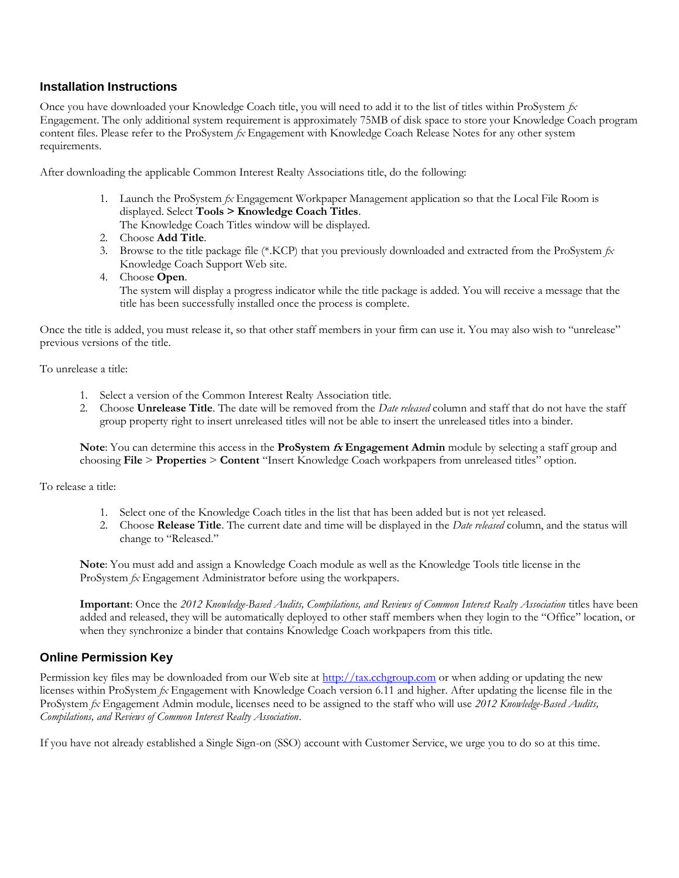#### **Installation Instructions**

Once you have downloaded your Knowledge Coach title, you will need to add it to the list of titles within ProSystem *fx*  Engagement. The only additional system requirement is approximately 75MB of disk space to store your Knowledge Coach program content files. Please refer to the ProSystem *fx* Engagement with Knowledge Coach Release Notes for any other system requirements.

After downloading the applicable Common Interest Realty Associations title, do the following:

1. Launch the ProSystem *fx* Engagement Workpaper Management application so that the Local File Room is displayed. Select **Tools > Knowledge Coach Titles**.

The Knowledge Coach Titles window will be displayed.

- 2. Choose **Add Title**.
- 3. Browse to the title package file (\*.KCP) that you previously downloaded and extracted from the ProSystem *fx*  Knowledge Coach Support Web site.
- 4. Choose **Open**.

The system will display a progress indicator while the title package is added. You will receive a message that the title has been successfully installed once the process is complete.

Once the title is added, you must release it, so that other staff members in your firm can use it. You may also wish to "unrelease" previous versions of the title.

To unrelease a title:

- 1. Select a version of the Common Interest Realty Association title.
- 2. Choose **Unrelease Title**. The date will be removed from the *Date released* column and staff that do not have the staff group property right to insert unreleased titles will not be able to insert the unreleased titles into a binder.

**Note**: You can determine this access in the **ProSystem fx Engagement Admin** module by selecting a staff group and choosing **File** > **Properties** > **Content** "Insert Knowledge Coach workpapers from unreleased titles" option.

To release a title:

- 1. Select one of the Knowledge Coach titles in the list that has been added but is not yet released.
- 2. Choose **Release Title**. The current date and time will be displayed in the *Date released* column, and the status will change to "Released."

**Note**: You must add and assign a Knowledge Coach module as well as the Knowledge Tools title license in the ProSystem *fx* Engagement Administrator before using the workpapers.

**Important**: Once the *2012 Knowledge-Based Audits, Compilations, and Reviews of Common Interest Realty Association* titles have been added and released, they will be automatically deployed to other staff members when they login to the "Office" location, or when they synchronize a binder that contains Knowledge Coach workpapers from this title.

#### **Online Permission Key**

Permission key files may be downloaded from our Web site a[t http://tax.cchgroup.com](http://tax.cchgroup.com/) or when adding or updating the new licenses within ProSystem *fx* Engagement with Knowledge Coach version 6.11 and higher. After updating the license file in the ProSystem *fx* Engagement Admin module, licenses need to be assigned to the staff who will use *2012 Knowledge-Based Audits, Compilations, and Reviews of Common Interest Realty Association*.

If you have not already established a Single Sign-on (SSO) account with Customer Service, we urge you to do so at this time.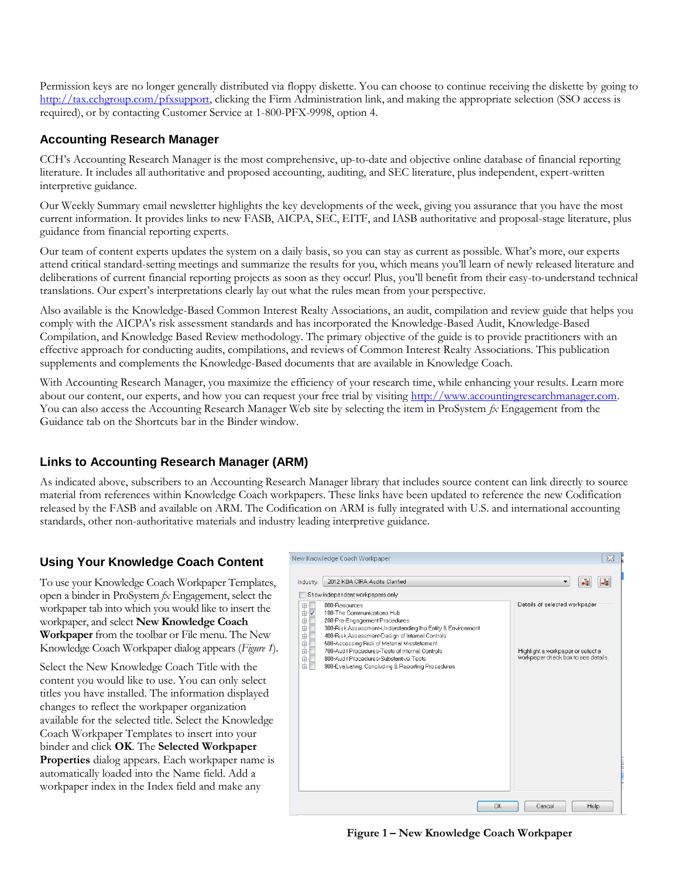Permission keys are no longer generally distributed via floppy diskette. You can choose to continue receiving the diskette by going to [http://tax.cchgroup.com/pfxsupport,](http://tax.cchgroup.com/pfxsupport) clicking the Firm Administration link, and making the appropriate selection (SSO access is required), or by contacting Customer Service at 1-800-PFX-9998, option 4.

## **Accounting Research Manager**

CCH's Accounting Research Manager is the most comprehensive, up-to-date and objective online database of financial reporting literature. It includes all authoritative and proposed accounting, auditing, and SEC literature, plus independent, expert-written interpretive guidance.

Our Weekly Summary email newsletter highlights the key developments of the week, giving you assurance that you have the most current information. It provides links to new FASB, AICPA, SEC, EITF, and IASB authoritative and proposal-stage literature, plus guidance from financial reporting experts.

Our team of content experts updates the system on a daily basis, so you can stay as current as possible. What's more, our experts attend critical standard-setting meetings and summarize the results for you, which means you'll learn of newly released literature and deliberations of current financial reporting projects as soon as they occur! Plus, you'll benefit from their easy-to-understand technical translations. Our expert's interpretations clearly lay out what the rules mean from your perspective.

Also available is the Knowledge-Based Common Interest Realty Associations, an audit, compilation and review guide that helps you comply with the AICPA's risk assessment standards and has incorporated the Knowledge-Based Audit, Knowledge-Based Compilation, and Knowledge Based Review methodology. The primary objective of the guide is to provide practitioners with an effective approach for conducting audits, compilations, and reviews of Common Interest Realty Associations. This publication supplements and complements the Knowledge-Based documents that are available in Knowledge Coach.

With Accounting Research Manager, you maximize the efficiency of your research time, while enhancing your results. Learn more about our content, our experts, and how you can request your free trial by visiting http://www.accountingresearchmanager.com. You can also access the Accounting Research Manager Web site by selecting the item in ProSystem  $\alpha$  Engagement from the Guidance tab on the Shortcuts bar in the Binder window.

## **Links to Accounting Research Manager (ARM)**

As indicated above, subscribers to an Accounting Research Manager library that includes source content can link directly to source material from references within Knowledge Coach workpapers. These links have been updated to reference the new Codification released by the FASB and available on ARM. The Codification on ARM is fully integrated with U.S. and international accounting standards, other non-authoritative materials and industry leading interpretive guidance.

## **Using Your Knowledge Coach Content**

To use your Knowledge Coach Workpaper Templates, open a binder in ProSystem *fx* Engagement, select the workpaper tab into which you would like to insert the workpaper, and select **New Knowledge Coach Workpaper** from the toolbar or File menu. The New Knowledge Coach Workpaper dialog appears (*Figure 1*).

Select the New Knowledge Coach Title with the content you would like to use. You can only select titles you have installed. The information displayed changes to reflect the workpaper organization available for the selected title. Select the Knowledge Coach Workpaper Templates to insert into your binder and click **OK**. The **Selected Workpaper Properties** dialog appears. Each workpaper name is automatically loaded into the Name field. Add a workpaper index in the Index field and make any



**Figure 1 – New Knowledge Coach Workpaper**